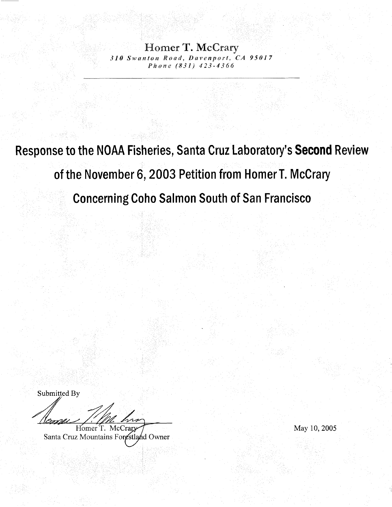Homer T. McCrary 310 Swanton Road, Davenport, CA 95017 Phone (831) 423-4366

Response to the NOAA Fisheries, Santa Cruz Laboratory's Second Review of the November 6, 2003 Petition from Homer T. McCrary **Concerning Coho Salmon South of San Francisco** 

Submitted By

/1*6mp* Homer T. McCrary

Santa Cruz Mountains Forestland Owner

May 10, 2005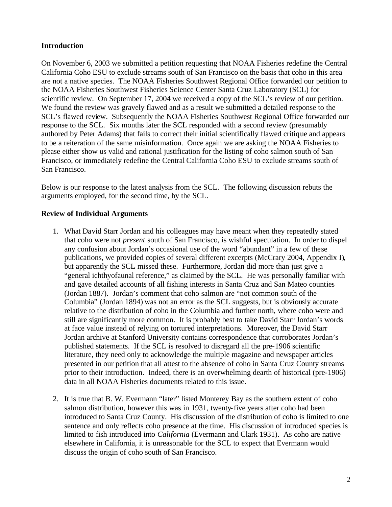## **Introduction**

On November 6, 2003 we submitted a petition requesting that NOAA Fisheries redefine the Central California Coho ESU to exclude streams south of San Francisco on the basis that coho in this area are not a native species. The NOAA Fisheries Southwest Regional Office forwarded our petition to the NOAA Fisheries Southwest Fisheries Science Center Santa Cruz Laboratory (SCL) for scientific review. On September 17, 2004 we received a copy of the SCL's review of our petition. We found the review was gravely flawed and as a result we submitted a detailed response to the SCL's flawed review. Subsequently the NOAA Fisheries Southwest Regional Office forwarded our response to the SCL. Six months later the SCL responded with a second review (presumably authored by Peter Adams) that fails to correct their initial scientifically flawed critique and appears to be a reiteration of the same misinformation. Once again we are asking the NOAA Fisheries to please either show us valid and rational justification for the listing of coho salmon south of San Francisco, or immediately redefine the Central California Coho ESU to exclude streams south of San Francisco.

Below is our response to the latest analysis from the SCL. The following discussion rebuts the arguments employed, for the second time, by the SCL.

## **Review of Individual Arguments**

- 1. What David Starr Jordan and his colleagues may have meant when they repeatedly stated that coho were not *present* south of San Francisco, is wishful speculation. In order to dispel any confusion about Jordan's occasional use of the word "abundant" in a few of these publications, we provided copies of several different excerpts (McCrary 2004, Appendix I), but apparently the SCL missed these. Furthermore, Jordan did more than just give a "general ichthyofaunal reference," as claimed by the SCL. He was personally familiar with and gave detailed accounts of all fishing interests in Santa Cruz and San Mateo counties (Jordan 1887). Jordan's comment that coho salmon are "not common south of the Columbia" (Jordan 1894) was not an error as the SCL suggests, but is obviously accurate relative to the distribution of coho in the Columbia and further north, where coho were and still are significantly more common. It is probably best to take David Starr Jordan's words at face value instead of relying on tortured interpretations. Moreover, the David Starr Jordan archive at Stanford University contains correspondence that corroborates Jordan's published statements. If the SCL is resolved to disregard all the pre-1906 scientific literature, they need only to acknowledge the multiple magazine and newspaper articles presented in our petition that all attest to the absence of coho in Santa Cruz County streams prior to their introduction. Indeed, there is an overwhelming dearth of historical (pre-1906) data in all NOAA Fisheries documents related to this issue.
- 2. It is true that B. W. Evermann "later" listed Monterey Bay as the southern extent of coho salmon distribution, however this was in 1931, twenty-five years after coho had been introduced to Santa Cruz County. His discussion of the distribution of coho is limited to one sentence and only reflects coho presence at the time. His discussion of introduced species is limited to fish introduced into *California* (Evermann and Clark 1931). As coho are native elsewhere in California, it is unreasonable for the SCL to expect that Evermann would discuss the origin of coho south of San Francisco.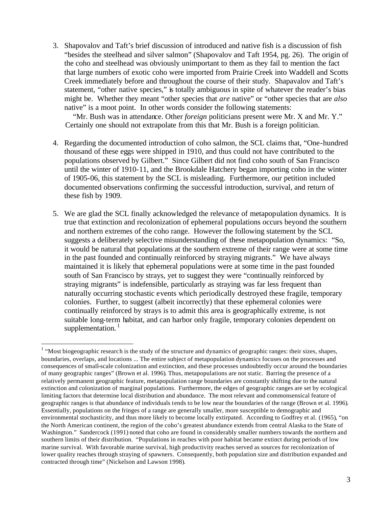3. Shapovalov and Taft's brief discussion of introduced and native fish is a discussion of fish "besides the steelhead and silver salmon" (Shapovalov and Taft 1954, pg. 26). The origin of the coho and steelhead was obviously unimportant to them as they fail to mention the fact that large numbers of exotic coho were imported from Prairie Creek into Waddell and Scotts Creek immediately before and throughout the course of their study. Shapavalov and Taft's statement, "other native species," is totally ambiguous in spite of whatever the reader's bias might be. Whether they meant "other species that *are* native" or "other species that are *also* native" is a moot point. In other words consider the following statements:

"Mr. Bush was in attendance. Other *foreign* politicians present were Mr. X and Mr. Y." Certainly one should not extrapolate from this that Mr. Bush is a foreign politician.

- 4. Regarding the documented introduction of coho salmon, the SCL claims that, "One-hundred thousand of these eggs were shipped in 1910, and thus could not have contributed to the populations observed by Gilbert." Since Gilbert did not find coho south of San Francisco until the winter of 1910-11, and the Brookdale Hatchery began importing coho in the winter of 1905-06, this statement by the SCL is misleading. Furthermore, our petition included documented observations confirming the successful introduction, survival, and return of these fish by 1909.
- 5. We are glad the SCL finally acknowledged the relevance of metapopulation dynamics. It is true that extinction and recolonization of ephemeral populations occurs beyond the southern and northern extremes of the coho range. However the following statement by the SCL suggests a deliberately selective misunderstanding of these metapopulation dynamics: "So, it would be natural that populations at the southern extreme of their range were at some time in the past founded and continually reinforced by straying migrants." We have always maintained it is likely that ephemeral populations were at some time in the past founded south of San Francisco by strays, yet to suggest they were "continually reinforced by straying migrants" is indefensible, particularly as straying was far less frequent than naturally occurring stochastic events which periodically destroyed these fragile, temporary colonies. Further, to suggest (albeit incorrectly) that these ephemeral colonies were continually reinforced by strays is to admit this area is geographically extreme, is not suitable long-term habitat, and can harbor only fragile, temporary colonies dependent on supplementation.<sup>1</sup>

 $\overline{a}$ 

 $<sup>1</sup>$  "Most biogeographic research is the study of the structure and dynamics of geographic ranges: their sizes, shapes,</sup> boundaries, overlaps, and locations ... The entire subject of metapopulation dynamics focuses on the processes and consequences of small-scale colonization and extinction, and these processes undoubtedly occur around the boundaries of many geographic ranges" (Brown et al. 1996). Thus, metapopulations are not static. Barring the presence of a relatively permanent geographic feature, metapopulation range boundaries are constantly shifting due to the natural extinction and colonization of marginal populations. Furthermore, the edges of geographic ranges are set by ecological limiting factors that determine local distribution and abundance. The most relevant and commonsensical feature of geographic ranges is that abundance of individuals tends to be low near the boundaries of the range (Brown et al. 1996). Essentially, populations on the fringes of a range are generally smaller, more susceptible to demographic and environmental stochasticity, and thus more likely to become locally extirpated. According to Godfrey et al. (1965), "on the North American continent, the region of the coho's greatest abundance extends from central Alaska to the State of Washington." Sandercock (1991) noted that coho are found in considerably smaller numbers towards the northern and southern limits of their distribution. "Populations in reaches with poor habitat became extinct during periods of low marine survival. With favorable marine survival, high productivity reaches served as sources for recolonization of lower quality reaches through straying of spawners. Consequently, both population size and distribution expanded and contracted through time" (Nickelson and Lawson 1998).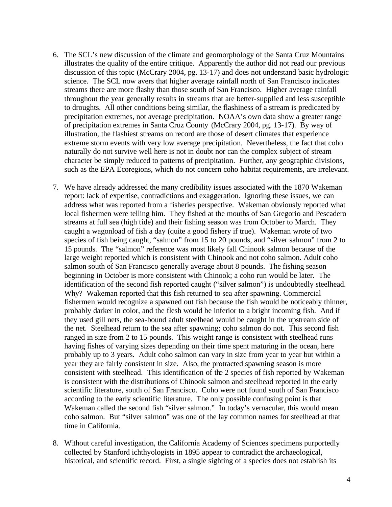- 6. The SCL's new discussion of the climate and geomorphology of the Santa Cruz Mountains illustrates the quality of the entire critique. Apparently the author did not read our previous discussion of this topic (McCrary 2004, pg. 13-17) and does not understand basic hydrologic science. The SCL now avers that higher average rainfall north of San Francisco indicates streams there are more flashy than those south of San Francisco. Higher average rainfall throughout the year generally results in streams that are better-supplied and less susceptible to droughts. All other conditions being similar, the flashiness of a stream is predicated by precipitation extremes, not average precipitation. NOAA's own data show a greater range of precipitation extremes in Santa Cruz County (McCrary 2004, pg. 13-17). By way of illustration, the flashiest streams on record are those of desert climates that experience extreme storm events with very low average precipitation. Nevertheless, the fact that coho naturally do not survive well here is not in doubt nor can the complex subject of stream character be simply reduced to patterns of precipitation. Further, any geographic divisions, such as the EPA Ecoregions, which do not concern coho habitat requirements, are irrelevant.
- 7. We have already addressed the many credibility issues associated with the 1870 Wakeman report: lack of expertise, contradictions and exaggeration. Ignoring these issues, we can address what was reported from a fisheries perspective. Wakeman obviously reported what local fishermen were telling him. They fished at the mouths of San Gregorio and Pescadero streams at full sea (high tide) and their fishing season was from October to March. They caught a wagonload of fish a day (quite a good fishery if true). Wakeman wrote of two species of fish being caught, "salmon" from 15 to 20 pounds, and "silver salmon" from 2 to 15 pounds. The "salmon" reference was most likely fall Chinook salmon because of the large weight reported which is consistent with Chinook and not coho salmon. Adult coho salmon south of San Francisco generally average about 8 pounds. The fishing season beginning in October is more consistent with Chinook; a coho run would be later. The identification of the second fish reported caught ("silver salmon") is undoubtedly steelhead. Why? Wakeman reported that this fish returned to sea after spawning. Commercial fishermen would recognize a spawned out fish because the fish would be noticeably thinner, probably darker in color, and the flesh would be inferior to a bright incoming fish. And if they used gill nets, the sea-bound adult steelhead would be caught in the upstream side of the net. Steelhead return to the sea after spawning; coho salmon do not. This second fish ranged in size from 2 to 15 pounds. This weight range is consistent with steelhead runs having fishes of varying sizes depending on their time spent maturing in the ocean, here probably up to 3 years. Adult coho salmon can vary in size from year to year but within a year they are fairly consistent in size. Also, the protracted spawning season is more consistent with steelhead. This identification of the 2 species of fish reported by Wakeman is consistent with the distributions of Chinook salmon and steelhead reported in the early scientific literature, south of San Francisco. Coho were not found south of San Francisco according to the early scientific literature. The only possible confusing point is that Wakeman called the second fish "silver salmon." In today's vernacular, this would mean coho salmon. But "silver salmon" was one of the lay common names for steelhead at that time in California.
- 8. Without careful investigation, the California Academy of Sciences specimens purportedly collected by Stanford ichthyologists in 1895 appear to contradict the archaeological, historical, and scientific record. First, a single sighting of a species does not establish its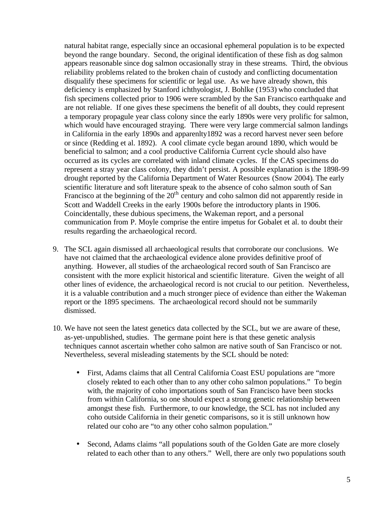natural habitat range, especially since an occasional ephemeral population is to be expected beyond the range boundary. Second, the original identification of these fish as dog salmon appears reasonable since dog salmon occasionally stray in these streams. Third, the obvious reliability problems related to the broken chain of custody and conflicting documentation disqualify these specimens for scientific or legal use. As we have already shown, this deficiency is emphasized by Stanford ichthyologist, J. Bohlke (1953) who concluded that fish specimens collected prior to 1906 were scrambled by the San Francisco earthquake and are not reliable. If one gives these specimens the benefit of all doubts, they could represent a temporary propagule year class colony since the early 1890s were very prolific for salmon, which would have encouraged straying. There were very large commercial salmon landings in California in the early 1890s and apparenlty1892 was a record harvest never seen before or since (Redding et al. 1892). A cool climate cycle began around 1890, which would be beneficial to salmon; and a cool productive California Current cycle should also have occurred as its cycles are correlated with inland climate cycles. If the CAS specimens do represent a stray year class colony, they didn't persist. A possible explanation is the 1898-99 drought reported by the California Department of Water Resources (Snow 2004). The early scientific literature and soft literature speak to the absence of coho salmon south of San Francisco at the beginning of the  $20<sup>th</sup>$  century and coho salmon did not apparently reside in Scott and Waddell Creeks in the early 1900s before the introductory plants in 1906. Coincidentally, these dubious specimens, the Wakeman report, and a personal communication from P. Moyle comprise the entire impetus for Gobalet et al. to doubt their results regarding the archaeological record.

- 9. The SCL again dismissed all archaeological results that corroborate our conclusions. We have not claimed that the archaeological evidence alone provides definitive proof of anything. However, all studies of the archaeological record south of San Francisco are consistent with the more explicit historical and scientific literature. Given the weight of all other lines of evidence, the archaeological record is not crucial to our petition. Nevertheless, it is a valuable contribution and a much stronger piece of evidence than either the Wakeman report or the 1895 specimens. The archaeological record should not be summarily dismissed.
- 10. We have not seen the latest genetics data collected by the SCL, but we are aware of these, as-yet-unpublished, studies. The germane point here is that these genetic analysis techniques cannot ascertain whether coho salmon are native south of San Francisco or not. Nevertheless, several misleading statements by the SCL should be noted:
	- First, Adams claims that all Central California Coast ESU populations are "more closely related to each other than to any other coho salmon populations." To begin with, the majority of coho importations south of San Francisco have been stocks from within California, so one should expect a strong genetic relationship between amongst these fish. Furthermore, to our knowledge, the SCL has not included any coho outside California in their genetic comparisons, so it is still unknown how related our coho are "to any other coho salmon population."
	- Second, Adams claims "all populations south of the Golden Gate are more closely related to each other than to any others." Well, there are only two populations south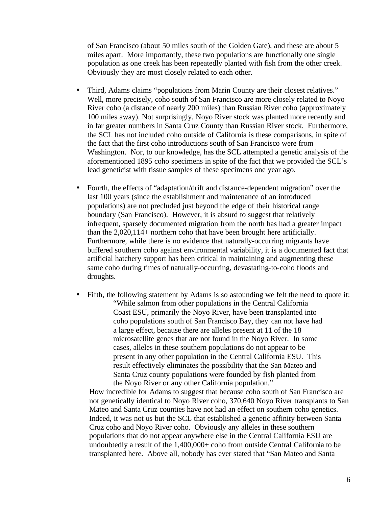of San Francisco (about 50 miles south of the Golden Gate), and these are about 5 miles apart. More importantly, these two populations are functionally one single population as one creek has been repeatedly planted with fish from the other creek. Obviously they are most closely related to each other.

- Third, Adams claims "populations from Marin County are their closest relatives." Well, more precisely, coho south of San Francisco are more closely related to Noyo River coho (a distance of nearly 200 miles) than Russian River coho (approximately 100 miles away). Not surprisingly, Noyo River stock was planted more recently and in far greater numbers in Santa Cruz County than Russian River stock. Furthermore, the SCL has not included coho outside of California is these comparisons, in spite of the fact that the first coho introductions south of San Francisco were from Washington. Nor, to our knowledge, has the SCL attempted a genetic analysis of the aforementioned 1895 coho specimens in spite of the fact that we provided the SCL's lead geneticist with tissue samples of these specimens one year ago.
- Fourth, the effects of "adaptation/drift and distance-dependent migration" over the last 100 years (since the establishment and maintenance of an introduced populations) are not precluded just beyond the edge of their historical range boundary (San Francisco). However, it is absurd to suggest that relatively infrequent, sparsely documented migration from the north has had a greater impact than the 2,020,114+ northern coho that have been brought here artificially. Furthermore, while there is no evidence that naturally-occurring migrants have buffered southern coho against environmental variability, it is a documented fact that artificial hatchery support has been critical in maintaining and augmenting these same coho during times of naturally-occurring, devastating-to-coho floods and droughts.
- Fifth, the following statement by Adams is so astounding we felt the need to quote it: "While salmon from other populations in the Central California Coast ESU, primarily the Noyo River, have been transplanted into coho populations south of San Francisco Bay, they can not have had a large effect, because there are alleles present at 11 of the 18 microsatellite genes that are not found in the Noyo River. In some cases, alleles in these southern populations do not appear to be present in any other population in the Central California ESU. This result effectively eliminates the possibility that the San Mateo and Santa Cruz county populations were founded by fish planted from the Noyo River or any other California population."

How incredible for Adams to suggest that because coho south of San Francisco are not genetically identical to Noyo River coho, 370,640 Noyo River transplants to San Mateo and Santa Cruz counties have not had an effect on southern coho genetics. Indeed, it was not us but the SCL that established a genetic affinity between Santa Cruz coho and Noyo River coho. Obviously any alleles in these southern populations that do not appear anywhere else in the Central California ESU are undoubtedly a result of the 1,400,000+ coho from outside Central California to be transplanted here. Above all, nobody has ever stated that "San Mateo and Santa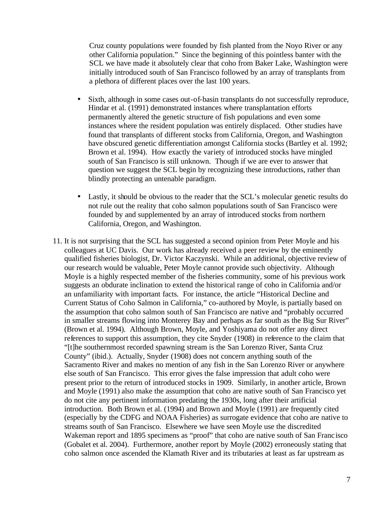Cruz county populations were founded by fish planted from the Noyo River or any other California population." Since the beginning of this pointless banter with the SCL we have made it absolutely clear that coho from Baker Lake, Washington were initially introduced south of San Francisco followed by an array of transplants from a plethora of different places over the last 100 years.

- Sixth, although in some cases out-of-basin transplants do not successfully reproduce, Hindar et al. (1991) demonstrated instances where transplantation efforts permanently altered the genetic structure of fish populations and even some instances where the resident population was entirely displaced. Other studies have found that transplants of different stocks from California, Oregon, and Washington have obscured genetic differentiation amongst California stocks (Bartley et al. 1992; Brown et al. 1994). How exactly the variety of introduced stocks have mingled south of San Francisco is still unknown. Though if we are ever to answer that question we suggest the SCL begin by recognizing these introductions, rather than blindly protecting an untenable paradigm.
- Lastly, it should be obvious to the reader that the SCL's molecular genetic results do not rule out the reality that coho salmon populations south of San Francisco were founded by and supplemented by an array of introduced stocks from northern California, Oregon, and Washington.
- 11. It is not surprising that the SCL has suggested a second opinion from Peter Moyle and his colleagues at UC Davis. Our work has already received a peer review by the eminently qualified fisheries biologist, Dr. Victor Kaczynski. While an additional, objective review of our research would be valuable, Peter Moyle cannot provide such objectivity. Although Moyle is a highly respected member of the fisheries community, some of his previous work suggests an obdurate inclination to extend the historical range of coho in California and/or an unfamiliarity with important facts. For instance, the article "Historical Decline and Current Status of Coho Salmon in California," co-authored by Moyle, is partially based on the assumption that coho salmon south of San Francisco are native and "probably occurred in smaller streams flowing into Monterey Bay and perhaps as far south as the Big Sur River" (Brown et al. 1994). Although Brown, Moyle, and Yoshiyama do not offer any direct references to support this assumption, they cite Snyder (1908) in reference to the claim that "[t]he southernmost recorded spawning stream is the San Lorenzo River, Santa Cruz County" (ibid.). Actually, Snyder (1908) does not concern anything south of the Sacramento River and makes no mention of any fish in the San Lorenzo River or anywhere else south of San Francisco. This error gives the false impression that adult coho were present prior to the return of introduced stocks in 1909. Similarly, in another article, Brown and Moyle (1991) also make the assumption that coho are native south of San Francisco yet do not cite any pertinent information predating the 1930s, long after their artificial introduction. Both Brown et al. (1994) and Brown and Moyle (1991) are frequently cited (especially by the CDFG and NOAA Fisheries) as surrogate evidence that coho are native to streams south of San Francisco. Elsewhere we have seen Moyle use the discredited Wakeman report and 1895 specimens as "proof" that coho are native south of San Franc isco (Gobalet et al. 2004). Furthermore, another report by Moyle (2002) erroneously stating that coho salmon once ascended the Klamath River and its tributaries at least as far upstream as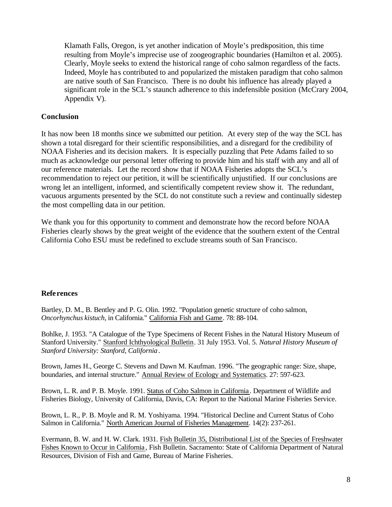Klamath Falls, Oregon, is yet another indication of Moyle's predisposition, this time resulting from Moyle's imprecise use of zoogeographic boundaries (Hamilton et al. 2005). Clearly, Moyle seeks to extend the historical range of coho salmon regardless of the facts. Indeed, Moyle has contributed to and popularized the mistaken paradigm that coho salmon are native south of San Francisco. There is no doubt his influence has already played a significant role in the SCL's staunch adherence to this indefensible position (McCrary 2004, Appendix V).

## **Conclusion**

It has now been 18 months since we submitted our petition. At every step of the way the SCL has shown a total disregard for their scientific responsibilities, and a disregard for the credibility of NOAA Fisheries and its decision makers. It is especially puzzling that Pete Adams failed to so much as acknowledge our personal letter offering to provide him and his staff with any and all of our reference materials. Let the record show that if NOAA Fisheries adopts the SCL's recommendation to reject our petition, it will be scientifically unjustified. If our conclusions are wrong let an intelligent, informed, and scientifically competent review show it. The redundant, vacuous arguments presented by the SCL do not constitute such a review and continually sidestep the most compelling data in our petition.

We thank you for this opportunity to comment and demonstrate how the record before NOAA Fisheries clearly shows by the great weight of the evidence that the southern extent of the Central California Coho ESU must be redefined to exclude streams south of San Francisco.

## **References**

Bartley, D. M., B. Bentley and P. G. Olin. 1992. "Population genetic structure of coho salmon, *Oncorhynchus kistuch*, in California." California Fish and Game. 78: 88-104.

Bohlke, J. 1953. "A Catalogue of the Type Specimens of Recent Fishes in the Natural History Museum of Stanford University." Stanford Ichthyological Bulletin. 31 July 1953. Vol. 5. *Natural History Museum of Stanford University: Stanford, California*.

Brown, James H., George C. Stevens and Dawn M. Kaufman. 1996. "The geographic range: Size, shape, boundaries, and internal structure." Annual Review of Ecology and Systematics. 27: 597-623.

Brown, L. R. and P. B. Moyle. 1991. Status of Coho Salmon in California . Department of Wildlife and Fisheries Biology, University of California, Davis, CA: Report to the National Marine Fisheries Service.

Brown, L. R., P. B. Moyle and R. M. Yoshiyama. 1994. "Historical Decline and Current Status of Coho Salmon in California." North American Journal of Fisheries Management. 14(2): 237-261.

Evermann, B. W. and H. W. Clark. 1931. Fish Bulletin 35, Distributional List of the Species of Freshwater Fishes Known to Occur in California , Fish Bulletin. Sacramento: State of California Department of Natural Resources, Division of Fish and Game, Bureau of Marine Fisheries.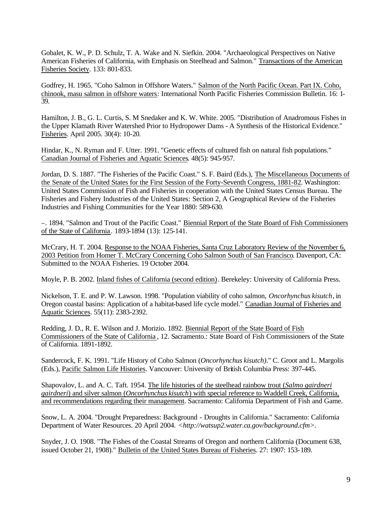Gobalet, K. W., P. D. Schulz, T. A. Wake and N. Siefkin. 2004. "Archaeological Perspectives on Native American Fisheries of California, with Emphasis on Steelhead and Salmon." Transactions of the American Fisheries Society. 133: 801-833.

Godfrey, H. 1965. "Coho Salmon in Offshore Waters." Salmon of the North Pacific Ocean. Part IX. Coho, chinook, masu salmon in offshore waters: International North Pacific Fisheries Commission Bulletin. 16: 1- 39.

Hamilton, J. B., G. L. Curtis, S. M Snedaker and K. W. White. 2005. "Distribution of Anadromous Fishes in the Upper Klamath River Watershed Prior to Hydropower Dams - A Synthesis of the Historical Evidence." Fisheries. April 2005. 30(4): 10-20.

Hindar, K., N. Ryman and F. Utter. 1991. "Genetic effects of cultured fish on natural fish populations." Canadian Journal of Fisheries and Aquatic Sciences. 48(5): 945-957.

Jordan, D. S. 1887. "The Fisheries of the Pacific Coast." S. F. Baird (Eds.), The Miscellaneous Documents of the Senate of the United States for the First Session of the Forty-Seventh Congress, 1881-82. Washington: United States Commission of Fish and Fisheries in cooperation with the United States Census Bureau. The Fisheries and Fishery Industries of the United States: Section 2, A Geographical Review of the Fisheries Industries and Fishing Communities for the Year 1880: 589-630.

–. 1894. "Salmon and Trout of the Pacific Coast." Biennial Report of the State Board of Fish Commissioners of the State of California . 1893-1894 (13): 125-141.

McCrary, H. T. 2004. Response to the NOAA Fisheries, Santa Cruz Laboratory Review of the November 6, 2003 Petition from Homer T. McCrary Concerning Coho Salmon South of San Francisco. Davenport, CA: Submitted to the NOAA Fisheries. 19 October 2004.

Moyle, P. B. 2002. Inland fishes of California (second edition). Berekeley: University of California Press.

Nickelson, T. E. and P. W. Lawson. 1998. "Population viability of coho salmon, *Oncorhynchus kisutch*, in Oregon coastal basins: Application of a habitat-based life cycle model." Canadian Journal of Fisheries and Aquatic Sciences. 55(11): 2383-2392.

Redding, J. D., R. E. Wilson and J. Morizio. 1892. Biennial Report of the State Board of Fish Commissioners of the State of California , 12. Sacramento.: State Board of Fish Commissioners of the State of California. 1891-1892.

Sandercock, F. K. 1991. "Life History of Coho Salmon (*Oncorhynchus kisutch)*." C. Groot and L. Margolis (Eds.), Pacific Salmon Life Histories. Vancouver: University of British Columbia Press: 397-445.

Shapovalov, L. and A. C. Taft. 1954. The life histories of the steelhead rainbow trout (*Salmo gairdneri gairdneri*) and silver salmon (*Oncorhynchus kisutch*) with special reference to Waddell Creek, California, and recommendations regarding their management. Sacramento: California Department of Fish and Game.

Snow, L. A. 2004. "Drought Preparedness: Background - Droughts in California." Sacramento: California Department of Water Resources. 20 April 2004. <http://watsup2.water.ca.gov/background.cfm>.

Snyder, J. O. 1908. "The Fishes of the Coastal Streams of Oregon and northern California (Document 638, issued October 21, 1908)." Bulletin of the United States Bureau of Fisheries. 27: 1907: 153-189.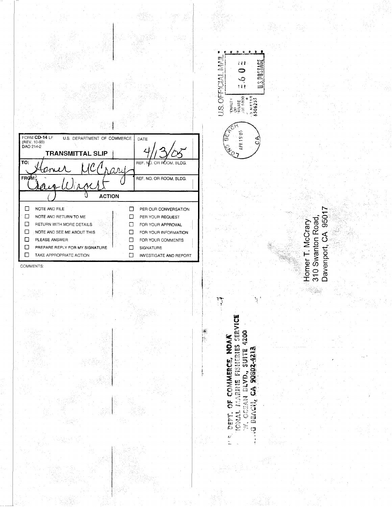| FORM CD-14 LF<br>U.S. DEPARTMENT OF COMMERCE<br>(REV. 10-93)<br>DAO 214-2<br>TRANSMITTAL SLIP<br>TO:                                                                           | DATE<br>REF. NO. OR ROOM, BLDG.                                                                                                                                 |
|--------------------------------------------------------------------------------------------------------------------------------------------------------------------------------|-----------------------------------------------------------------------------------------------------------------------------------------------------------------|
| <b>FROW</b>                                                                                                                                                                    | REF. NO. OR ROOM, BLDG.                                                                                                                                         |
| <b>ACTION</b>                                                                                                                                                                  |                                                                                                                                                                 |
| NOTE AND FILE<br>NOTE AND RETURN TO ME<br>RETURN WITH MORE DETAILS<br>NOTE AND SEE ME ABOUT THIS<br>PLEASE ANSWER<br>PREPARE REPLY FOR MY SIGNATURE<br>TAKE APPROPRIATE ACTION | PER OUR CONVERSATION<br>PER YOUR REQUEST<br>FOR YOUR APPROVAL<br>FOR YOUR INFORMATION<br>FOR YOUR COMMENTS<br><b>SIGNATURE</b><br><b>INVESTIGATE AND REPORT</b> |

COMMENTS:

<sup>17</sup> REPT. OF COMMERCE, NOA**A**<br>10NAL MARINE FISHERIES SERVICE<br>17, OCEAN BLVD., SUITE 4200<br>140 BEACH, CA 90802-4213

er<br>Gr

U.S. OFFICIAL MAIL

 $\int_{\overline{\Omega}}$ 

ž Ω **U.S.POSINGE** 

رم<br>ب

ij

Homer T. McCrary<br>310 Swanton Road,<br>Davenport, CA 95017

EO Om

EPALITY<br>OR WHEE<br>SHE SROOT<br>SHE TREE

APR 15'05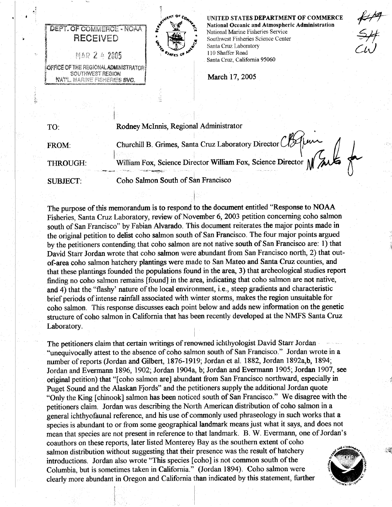

**DEPT. OF COMMERCE - NOAA** 

**RECEIVED** 

MAR 2 4 2005

OFFICE OF THE REGIONAL ADMINISTRATOR SOUTHWEST REGION

NATL. MARINE FISHERIES SVC.

UNITED STATES DEPARTMENT OF COMMERCE National Oceanic and Atmospheric Administration National Marine Fisheries Service Southwest Fisheries Science Center Santa Cruz Laboratory 110 Shaffer Road Santa Cruz, California 95060

 $\frac{1}{4}$ 

March 17, 2005

Rodney McInnis, Regional Administrator TO: Churchill B. Grimes, Santa Cruz Laboratory Director Clarence<br>William Fox, Science Director William Fox, Science Director M FROM: THROUGH: Coho Salmon South of San Francisco **SUBJECT:** 

The purpose of this memorandum is to respond to the document entitled "Response to NOAA Fisheries, Santa Cruz Laboratory, review of November 6, 2003 petition concerning coho salmon south of San Francisco" by Fabian Alvarado. This document reiterates the major points made in the original petition to delist coho salmon south of San Francisco. The four major points argued by the petitioners contending that coho salmon are not native south of San Francisco are: 1) that David Starr Jordan wrote that coho salmon were abundant from San Francisco north, 2) that outof-area coho salmon hatchery plantings were made to San Mateo and Santa Cruz counties, and that these plantings founded the populations found in the area, 3) that archeological studies report finding no coho salmon remains [found] in the area, indicating that coho salmon are not native, and 4) that the "flashy' nature of the local environment, i.e., steep gradients and characteristic brief periods of intense rainfall associated with winter storms, makes the region unsuitable for coho salmon. This response discusses each point below and adds new information on the genetic structure of coho salmon in California that has been recently developed at the NMFS Santa Cruz Laboratory.

The petitioners claim that certain writings of renowned ichthyologist David Starr Jordan "unequivocally attest to the absence of coho salmon south of San Francisco." Jordan wrote in a number of reports (Jordan and Gilbert, 1876-1919; Jordan et al. 1882, Jordan 1892a,b, 1894; Jordan and Evermann 1896, 1902; Jordan 1904a, b; Jordan and Evermann 1905; Jordan 1907, see original petition) that "[coho salmon are] abundant from San Francisco northward, especially in Puget Sound and the Alaskan Fjords" and the petitioners supply the additional Jordan quote "Only the King [chinook] salmon has been noticed south of San Francisco." We disagree with the petitioners claim. Jordan was describing the North American distribution of coho salmon in a general ichthyofaunal reference, and his use of commonly used phraseology in such works that a species is abundant to or from some geographical landmark means just what it says, and does not mean that species are not present in reference to that landmark. B. W. Evermann, one of Jordan's coauthors on these reports, later listed Monterey Bay as the southern extent of coho salmon distribution without suggesting that their presence was the result of hatchery introductions. Jordan also wrote "This species [coho] is not common south of the Columbia, but is sometimes taken in California." (Jordan 1894). Coho salmon were clearly more abundant in Oregon and California than indicated by this statement, further

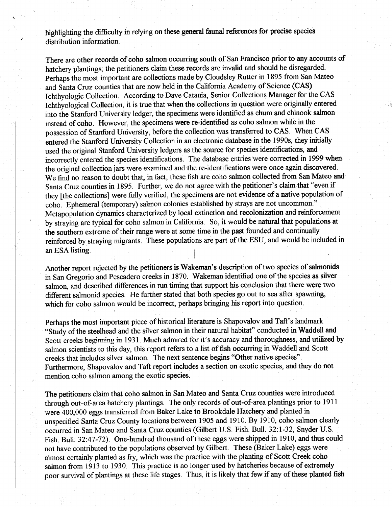highlighting the difficulty in relying on these general faunal references for precise species distribution information.

There are other records of coho salmon occurring south of San Francisco prior to any accounts of hatchery plantings; the petitioners claim these records are invalid and should be disregarded. Perhaps the most important are collections made by Cloudsley Rutter in 1895 from San Mateo and Santa Cruz counties that are now held in the California Academy of Science (CAS) Ichthyologic Collection. According to Dave Catania, Senior Collections Manager for the CAS Ichthyological Collection, it is true that when the collections in question were originally entered into the Stanford University ledger, the specimens were identified as chum and chinook salmon instead of coho. However, the specimens were re-identified as coho salmon while in the possession of Stanford University, before the collection was transferred to CAS. When CAS entered the Stanford University Collection in an electronic database in the 1990s, they initially used the original Stanford University ledgers as the source for species identifications, and incorrectly entered the species identifications. The database entries were corrected in 1999 when the original collection jars were examined and the re-identifications were once again discovered. We find no reason to doubt that, in fact, these fish are coho salmon collected from San Mateo and Santa Cruz counties in 1895. Further, we do not agree with the petitioner's claim that "even if they [the collections] were fully verified, the specimens are not evidence of a native population of coho. Ephemeral (temporary) salmon colonies established by strays are not uncommon." Metapopulation dynamics characterized by local extinction and recolonization and reinforcement by straving are typical for coho salmon in California. So, it would be natural that populations at the southern extreme of their range were at some time in the past founded and continually reinforced by straying migrants. These populations are part of the ESU, and would be included in an ESA listing.

Another report rejected by the petitioners is Wakeman's description of two species of salmonids in San Gregorio and Pescadero creeks in 1870. Wakeman identified one of the species as silver salmon, and described differences in run timing that support his conclusion that there were two different salmonid species. He further stated that both species go out to sea after spawning, which for coho salmon would be incorrect, perhaps bringing his report into question.

Perhaps the most important piece of historical literature is Shapovalov and Taft's landmark "Study of the steelhead and the silver salmon in their natural habitat" conducted in Waddell and Scott creeks beginning in 1931. Much admired for it's accuracy and thoroughness, and utilized by salmon scientists to this day, this report refers to a list of fish occurring in Waddell and Scott creeks that includes silver salmon. The next sentence begins "Other native species". Furthermore, Shapovalov and Taft report includes a section on exotic species, and they do not mention coho salmon among the exotic species.

The petitioners claim that coho salmon in San Mateo and Santa Cruz counties were introduced through out-of-area hatchery plantings. The only records of out-of-area plantings prior to 1911 were 400,000 eggs transferred from Baker Lake to Brookdale Hatchery and planted in unspecified Santa Cruz County locations between 1905 and 1910. By 1910, coho salmon clearly occurred in San Mateo and Santa Cruz counties (Gilbert U.S. Fish. Bull. 32:1-32, Snyder U.S. Fish, Bull. 32:47-72). One-hundred thousand of these eggs were shipped in 1910, and thus could not have contributed to the populations observed by Gilbert. These (Baker Lake) eggs were almost certainly planted as fry, which was the practice with the planting of Scott Creek coho salmon from 1913 to 1930. This practice is no longer used by hatcheries because of extremely poor survival of plantings at these life stages. Thus, it is likely that few if any of these planted fish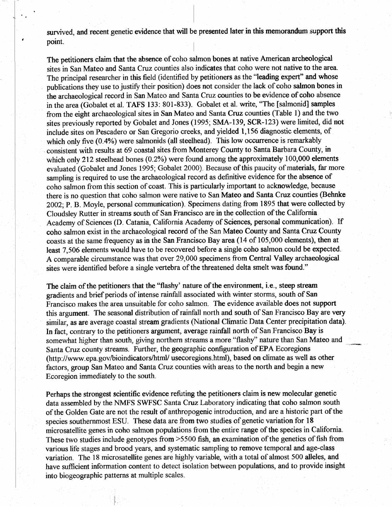survived, and recent genetic evidence that will be presented later in this memorandum support this point.

The petitioners claim that the absence of coho salmon bones at native American archeological sites in San Mateo and Santa Cruz counties also indicates that coho were not native to the area. The principal researcher in this field (identified by petitioners as the "leading expert" and whose publications they use to justify their position) does not consider the lack of coho salmon bones in the archaeological record in San Mateo and Santa Cruz counties to be evidence of coho absence in the area (Gobalet et al. TAFS 133: 801-833). Gobalet et al. write, "The [salmonid] samples from the eight archaeological sites in San Mateo and Santa Cruz counties (Table 1) and the two sites previously reported by Gobalet and Jones (1995; SMA-139, SCR-123) were limited, did not include sites on Pescadero or San Gregorio creeks, and yielded 1,156 diagnostic elements, of which only five (0.4%) were salmonids (all steelhead). This low occurrence is remarkably consistent with results at 69 coastal sites from Monterey County to Santa Barbara County, in which only 212 steelhead bones  $(0.2\%)$  were found among the approximately 100,000 elements evaluated (Gobalet and Jones 1995; Gobalet 2000). Because of this paucity of materials, far more sampling is required to use the archaeological record as definitive evidence for the absence of coho salmon from this section of coast. This is particularly important to acknowledge, because there is no question that coho salmon were native to San Mateo and Santa Cruz counties (Behnke 2002; P. B. Moyle, personal communication). Specimens dating from 1895 that were collected by Cloudsley Rutter in streams south of San Francisco are in the collection of the California Academy of Sciences (D. Catania, California Academy of Sciences, personal communication). If coho salmon exist in the archaeological record of the San Mateo County and Santa Cruz County coasts at the same frequency as in the San Francisco Bay area (14 of 105,000 elements), then at least 7,506 elements would have to be recovered before a single coho salmon could be expected. A comparable circumstance was that over 29,000 specimens from Central Valley archaeological sites were identified before a single vertebra of the threatened delta smelt was found."

The claim of the petitioners that the "flashy' nature of the environment, i.e., steep stream gradients and brief periods of intense rainfall associated with winter storms, south of San Francisco makes the area unsuitable for coho salmon. The evidence available does not support this argument. The seasonal distribution of rainfall north and south of San Francisco Bay are very similar, as are average coastal stream gradients (National Climatic Data Center precipitation data). In fact, contrary to the petitioners argument, average rainfall north of San Francisco Bay is somewhat higher than south, giving northern streams a more "flashy" nature than San Mateo and Santa Cruz county streams. Further, the geographic configuration of EPA Ecoregions (http://www.epa.gov/bioindicators/html/ usecoregions.html), based on climate as well as other factors, group San Mateo and Santa Cruz counties with areas to the north and begin a new Ecoregion immediately to the south.

Perhaps the strongest scientific evidence refuting the petitioners claim is new molecular genetic data assembled by the NMFS SWFSC Santa Cruz Laboratory indicating that coho salmon south of the Golden Gate are not the result of anthropogenic introduction, and are a historic part of the species southernmost ESU. These data are from two studies of genetic variation for 18 microsatellite genes in coho salmon populations from the entire range of the species in California. These two studies include genotypes from  $>5500$  fish, an examination of the genetics of fish from various life stages and brood years, and systematic sampling to remove temporal and age-class variation. The 18 microsatellite genes are highly variable, with a total of almost 500 alleles, and have sufficient information content to detect isolation between populations, and to provide insight into biogeographic patterns at multiple scales.